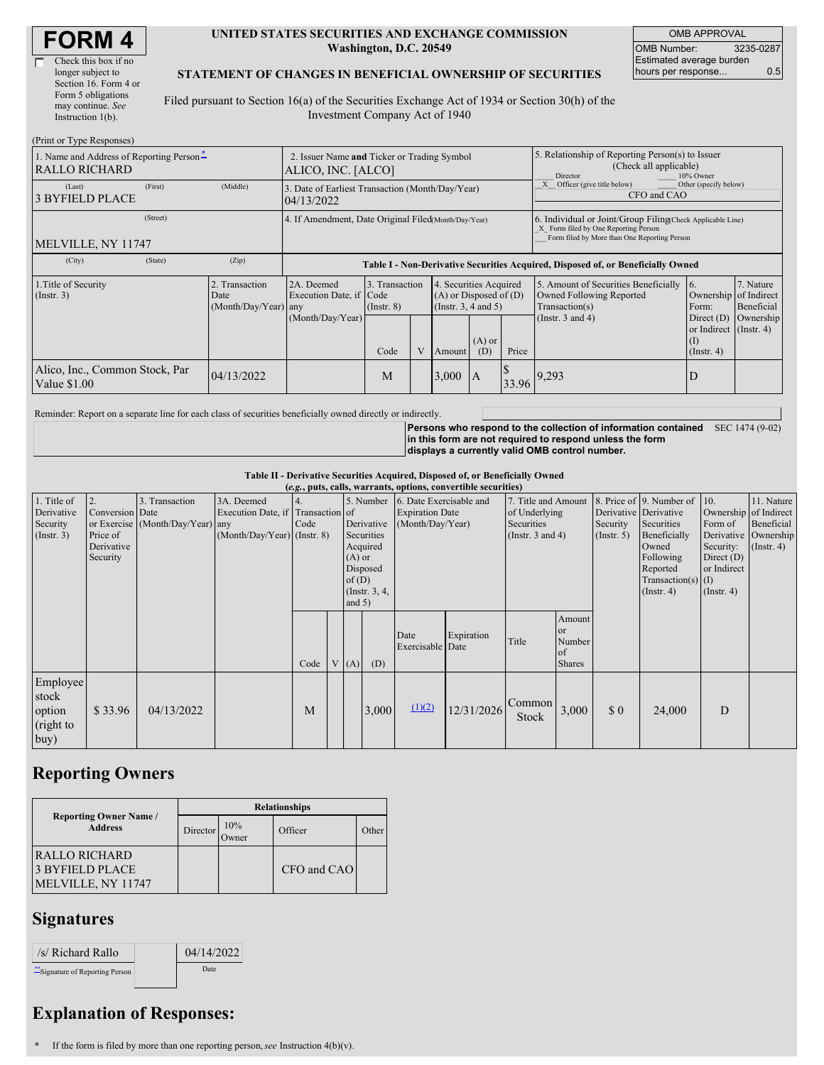| Check this box if no  |
|-----------------------|
| longer subject to     |
| Section 16. Form 4 or |
| Form 5 obligations    |
| may continue. See     |
| Instruction 1(b).     |
|                       |

#### **UNITED STATES SECURITIES AND EXCHANGE COMMISSION Washington, D.C. 20549**

OMB APPROVAL OMB Number: 3235-0287 Estimated average burden hours per response... 0.5

### **STATEMENT OF CHANGES IN BENEFICIAL OWNERSHIP OF SECURITIES**

Filed pursuant to Section 16(a) of the Securities Exchange Act of 1934 or Section 30(h) of the Investment Company Act of 1940

| (Print or Type Responses)                                 |                                                                   |                                                      |                                                                                  |                         |                                                                                                                             |       |                                                                                                     |                                                                                                                                                    |                                                                                                         |                                      |  |
|-----------------------------------------------------------|-------------------------------------------------------------------|------------------------------------------------------|----------------------------------------------------------------------------------|-------------------------|-----------------------------------------------------------------------------------------------------------------------------|-------|-----------------------------------------------------------------------------------------------------|----------------------------------------------------------------------------------------------------------------------------------------------------|---------------------------------------------------------------------------------------------------------|--------------------------------------|--|
| 1. Name and Address of Reporting Person-<br>RALLO RICHARD | 2. Issuer Name and Ticker or Trading Symbol<br>ALICO, INC. [ALCO] |                                                      |                                                                                  |                         |                                                                                                                             |       | 5. Relationship of Reporting Person(s) to Issuer<br>(Check all applicable)<br>Director<br>10% Owner |                                                                                                                                                    |                                                                                                         |                                      |  |
| (Last)<br><b>3 BYFIELD PLACE</b>                          | (First)                                                           | (Middle)                                             | 3. Date of Earliest Transaction (Month/Day/Year)<br>04/13/2022                   |                         |                                                                                                                             |       |                                                                                                     |                                                                                                                                                    | Other (specify below)<br>Officer (give title below)<br>X<br>CFO and CAO                                 |                                      |  |
| (Street)<br>MELVILLE, NY 11747                            |                                                                   | 4. If Amendment, Date Original Filed(Month/Day/Year) |                                                                                  |                         |                                                                                                                             |       |                                                                                                     | 6. Individual or Joint/Group Filing Check Applicable Line)<br>X Form filed by One Reporting Person<br>Form filed by More than One Reporting Person |                                                                                                         |                                      |  |
| (City)                                                    | (State)                                                           | (Zip)                                                | Table I - Non-Derivative Securities Acquired, Disposed of, or Beneficially Owned |                         |                                                                                                                             |       |                                                                                                     |                                                                                                                                                    |                                                                                                         |                                      |  |
| 1. Title of Security<br>(Insert. 3)<br>Date               |                                                                   | 2. Transaction<br>$(Month/Day/Year)$ any             | 2A. Deemed<br>Execution Date, if Code<br>(Month/Day/Year)                        | $($ Instr. $8)$<br>Code | 3. Transaction<br>4. Securities Acquired<br>$(A)$ or Disposed of $(D)$<br>(Insert. 3, 4 and 5)<br>$(A)$ or<br>(D)<br>Amount |       | Price                                                                                               | 5. Amount of Securities Beneficially<br><b>Owned Following Reported</b><br>Transaction(s)<br>(Instr. $3$ and $4$ )                                 | 16.<br>Ownership of Indirect<br>Form:<br>Direct $(D)$<br>or Indirect (Instr. 4)<br>(I)<br>$($ Instr. 4) | 7. Nature<br>Beneficial<br>Ownership |  |
| Alico, Inc., Common Stock, Par<br>Value \$1.00            |                                                                   | 04/13/2022                                           |                                                                                  | M                       |                                                                                                                             | 3,000 | IA                                                                                                  |                                                                                                                                                    | $33.96$ <sup>9,293</sup>                                                                                | D                                    |  |

Reminder: Report on a separate line for each class of securities beneficially owned directly or indirectly.

**Persons who respond to the collection of information contained** SEC 1474 (9-02) **in this form are not required to respond unless the form displays a currently valid OMB control number.**

**Table II - Derivative Securities Acquired, Disposed of, or Beneficially Owned**

| (e.g., puts, calls, warrants, options, convertible securities) |                                                             |                                                    |                                                                                  |      |  |                                                                                                      |       |                                                                                 |            |                                                                             |                                               |                              |                                                                                                                                                               |                                                                                |                                                                                                 |
|----------------------------------------------------------------|-------------------------------------------------------------|----------------------------------------------------|----------------------------------------------------------------------------------|------|--|------------------------------------------------------------------------------------------------------|-------|---------------------------------------------------------------------------------|------------|-----------------------------------------------------------------------------|-----------------------------------------------|------------------------------|---------------------------------------------------------------------------------------------------------------------------------------------------------------|--------------------------------------------------------------------------------|-------------------------------------------------------------------------------------------------|
| 1. Title of<br>Derivative<br>Security<br>(Instr. 3)            | 2.<br>Conversion Date<br>Price of<br>Derivative<br>Security | 3. Transaction<br>or Exercise (Month/Day/Year) any | 3A. Deemed<br>Execution Date, if Transaction of<br>$(Month/Day/Year)$ (Instr. 8) | Code |  | Derivative<br>Securities<br>Acquired<br>$(A)$ or<br>Disposed<br>of(D)<br>(Instr. $3, 4,$<br>and $5)$ |       | 5. Number 6. Date Exercisable and<br><b>Expiration Date</b><br>(Month/Day/Year) |            | 7. Title and Amount<br>of Underlying<br>Securities<br>(Instr. $3$ and $4$ ) |                                               | Security<br>$($ Instr. 5 $)$ | 8. Price of 9. Number of<br>Derivative Derivative<br>Securities<br>Beneficially<br>Owned<br>Following<br>Reported<br>$Transaction(s)$ (I)<br>$($ Instr. 4 $)$ | 10.<br>Form of<br>Security:<br>Direct $(D)$<br>or Indirect<br>$($ Instr. 4 $)$ | 11. Nature<br>Ownership of Indirect<br>Beneficial<br>Derivative   Ownership<br>$($ Instr. 4 $)$ |
|                                                                |                                                             |                                                    |                                                                                  | Code |  | V(A)                                                                                                 | (D)   | Date<br>Exercisable Date                                                        | Expiration | Title                                                                       | Amount<br>or<br>Number<br>of<br><b>Shares</b> |                              |                                                                                                                                                               |                                                                                |                                                                                                 |
| Employee<br>stock<br>option<br>(right to<br>buy)               | \$33.96                                                     | 04/13/2022                                         |                                                                                  | M    |  |                                                                                                      | 3,000 | (1)(2)                                                                          | 12/31/2026 | Common<br>Stock                                                             | 3,000                                         | $\Omega$                     | 24,000                                                                                                                                                        | D                                                                              |                                                                                                 |

# **Reporting Owners**

|                                                                      | <b>Relationships</b> |              |             |       |  |  |  |  |
|----------------------------------------------------------------------|----------------------|--------------|-------------|-------|--|--|--|--|
| <b>Reporting Owner Name /</b><br><b>Address</b>                      | Director             | 10%<br>Owner | Officer     | Other |  |  |  |  |
| <b>RALLO RICHARD</b><br><b>3 BYFIELD PLACE</b><br>MELVILLE, NY 11747 |                      |              | CFO and CAO |       |  |  |  |  |

## **Signatures**

| /s/ Richard Rallo              | 04/14/2022 |
|--------------------------------|------------|
| "Signature of Reporting Person | Date       |

### **Explanation of Responses:**

**\*** If the form is filed by more than one reporting person,*see* Instruction 4(b)(v).